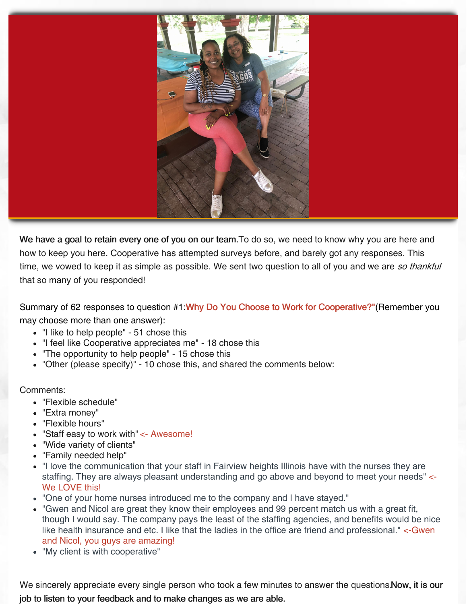

We have a goal to retain every one of you on our team. To do so, we need to know why you are here and how to keep you here. Cooperative has attempted surveys before, and barely got any responses. This time, we vowed to keep it as simple as possible. We sent two question to all of you and we are so thankful that so many of you responded!

Summary of 62 responses to question #1:Why Do You Choose to Work for Cooperative?"(Remember you may choose more than one answer):

- "I like to help people" 51 chose this
- "I feel like Cooperative appreciates me" 18 chose this
- "The opportunity to help people" 15 chose this
- "Other (please specify)" 10 chose this, and shared the comments below:

## Comments:

- "Flexible schedule"
- "Extra money"
- "Flexible hours"
- "Staff easy to work with" <- Awesome!
- "Wide variety of clients"
- "Family needed help"
- "I love the communication that your staff in Fairview heights Illinois have with the nurses they are staffing. They are always pleasant understanding and go above and beyond to meet your needs" <- We LOVE this!
- "One of your home nurses introduced me to the company and I have stayed."
- "Gwen and Nicol are great they know their employees and 99 percent match us with a great fit, though I would say. The company pays the least of the staffing agencies, and benefits would be nice like health insurance and etc. I like that the ladies in the office are friend and professional." <-Gwen and Nicol, you guys are amazing!
- "My client is with cooperative"

We sincerely appreciate every single person who took a few minutes to answer the questions. Now, it is our job to listen to your feedback and to make changes as we are able.